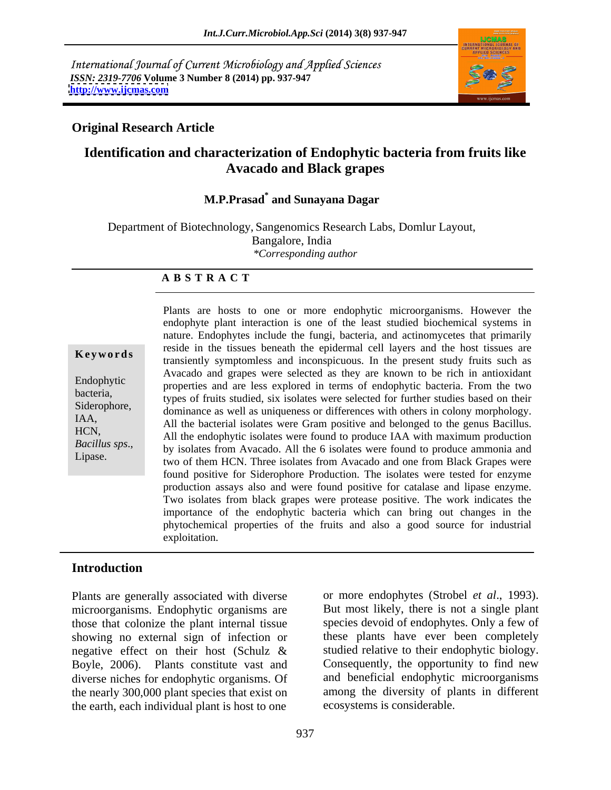International Journal of Current Microbiology and Applied Sciences *ISSN: 2319-7706* **Volume 3 Number 8 (2014) pp. 937-947 <http://www.ijcmas.com>**



### **Original Research Article**

# **Identification and characterization of Endophytic bacteria from fruits like Avacado and Black grapes**

### **M.P.Prasad\* and Sunayana Dagar**

Department of Biotechnology, Sangenomics Research Labs, Domlur Layout,

Bangalore, India

*\*Corresponding author* 

### **A B S T R A C T**

**Keywords**<br>
transiently symptomless and inconspicuous. In the present study fruits such as Endophytic properties and are less explored in terms of endophytic bacteria. From the two bacteria,<br>
types of fruits studied, six isolates were selected for further studies based on their Siderophore,<br>dominance as well as uniqueness or differences with others in colony morphology. IAA,<br>
All the bacterial isolates were Gram positive and belonged to the genus Bacillus. HCN,<br>All the endophytic isolates were found to produce IAA with maximum production *Bacillus sps.*, by isolates from Avacado. All the 6 isolates were found to produce ammonia and two of them HCN. Three isolates from Avacado and one from Black Grapes were Plants are hosts to one or more endophytic microorganisms. However the endophyte plant interaction is one of the least studied biochemical systems in nature. Endophytes include the fungi, bacteria, and actinomycetes that primarily reside in the tissues beneath the epidermal cell layers and the host tissues are Avacado and grapes were selected as they are known to be rich in antioxidant two of them HCN. Three isolates from Avacado and one from Black Grapes were found positive for Siderophore Production. The isolates were tested for enzyme production assays also and were found positive for catalase and lipase enzyme. Two isolates from black grapes were protease positive. The work indicates the importance of the endophytic bacteria which can bring out changes in the phytochemical properties of the fruits and also a good source for industrial exploitation.

### **Introduction**

Plants are generally associated with diverse or more endophytes (Strobel *et al.*, 1993). microorganisms. Endophytic organisms are But most likely, there is not a single plant those that colonize the plant internal tissue showing no external sign of infection or these plants have ever been completely negative effect on their host (Schulz & Boyle, 2006). Plants constitute vast and diverse niches for endophytic organisms. Of and beneficial endophytic microorganisms the nearly 300,000 plant species that exist on the earth, each individual plant is host to one

or more endophytes (Strobel *et al.*, 1993).<br>But most likely, there is not a single plant species devoid of endophytes. Only a few of studied relative to their endophytic biology. Consequently, the opportunity to find new among the diversity of plants in different ecosystems is considerable.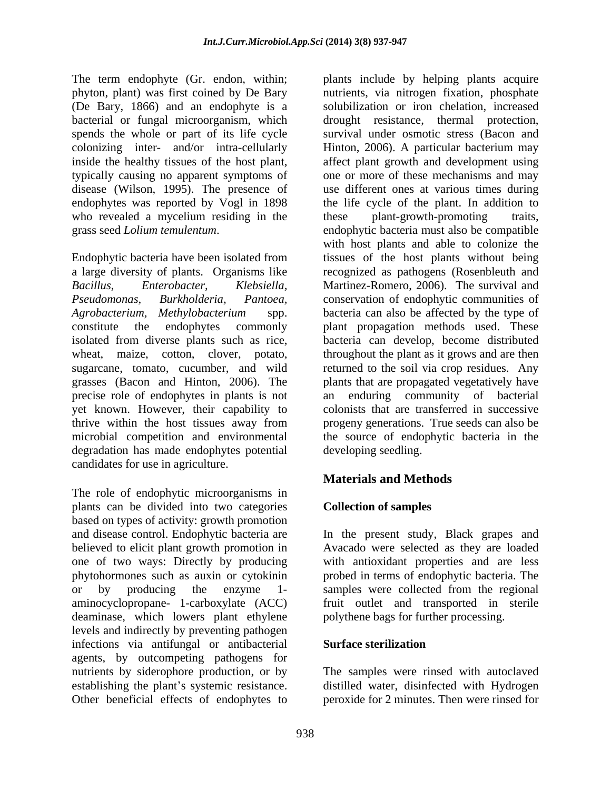phyton, plant) was first coined by De Bary (De Bary, 1866) and an endophyte is a disease (Wilson, 1995). The presence of who revealed a mycelium residing in the these plant-growth-promoting traits,

Endophytic bacteria have been isolated from precise role of endophytes in plants is not yet known. However, their capability to degradation has made endophytes potential candidates for use in agriculture.

The role of endophytic microorganisms in plants can be divided into two categories based on types of activity: growth promotion and disease control. Endophytic bacteria are In the present study, Black grapes and believed to elicit plant growth promotion in one of two ways: Directly by producing with antioxidant properties and are less phytohormones such as auxin or cytokinin probed in terms of endophytic bacteria. The or by producing the enzyme 1- samples were collected from the regional aminocyclopropane- 1-carboxylate (ACC) fruit outlet and transported in sterile deaminase, which lowers plant ethylene levels and indirectly by preventing pathogen infections via antifungal or antibacterial **Surface sterilization** agents, by outcompeting pathogens for nutrients by siderophore production, or by The samples were rinsed with autoclaved establishing the plant's systemic resistance. <br>distilled water, disinfected with Hydrogen Other beneficial effects of endophytes to peroxide for 2 minutes. Then were rinsed for

The term endophyte (Gr. endon, within; plants include by helping plants acquire bacterial or fungal microorganism, which drought resistance, thermal protection, spends the whole or part of its life cycle survival under osmotic stress (Bacon and colonizing inter- and/or intra-cellularly Hinton, 2006). A particular bacterium may inside the healthy tissues of the host plant, affect plant growth and development using typically causing no apparent symptoms of one or more of these mechanisms and may endophytes was reported by Vogl in 1898 the life cycle of the plant. In addition to grass seed *Lolium temulentum*. endophytic bacteria must also be compatible a large diversity of plants. Organisms like recognized as pathogens (Rosenbleuth and *Bacillus, Enterobacter, Klebsiella,* Martinez-Romero, 2006). The survival and *Pseudomonas, Burkholderia, Pantoea,* conservation of endophytic communities of *Agrobacterium, Methylobacterium* spp. bacteria can also be affected by the type of constitute the endophytes commonly plant propagation methods used. These isolated from diverse plants such as rice, bacteria can develop, become distributed wheat, maize, cotton, clover, potato, throughout the plant as it grows and are then sugarcane, tomato, cucumber, and wild returned to the soil via crop residues. Any grasses (Bacon and Hinton, 2006). The plants that are propagated vegetatively have thrive within the host tissues away from progeny generations. True seeds can also be microbial competition and environmental the source of endophytic bacteria in the nutrients, via nitrogen fixation, phosphate solubilization or iron chelation, increased use different ones at various times during these plant-growth-promoting traits, with host plants and able to colonize the tissues of the host plants without being enduring community of bacterial colonists that are transferred in successive developing seedling.

# **Materials and Methods**

## **Collection of samples**

Avacado were selected as they are loaded polythene bags for further processing.

### **Surface sterilization**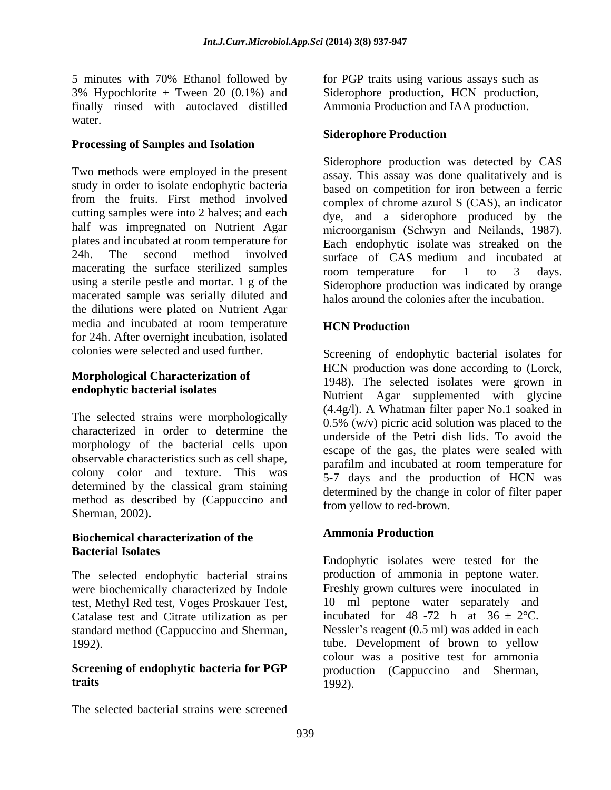5 minutes with 70% Ethanol followed by for PGP traits using various assays such as 3% Hypochlorite + Tween 20 (0.1%) and Siderophore production, HCN production, finally rinsed with autoclaved distilled water.

### **Processing of Samples and Isolation**

study in order to isolate endophytic bacteria macerated sample was serially diluted and the dilutions were plated on Nutrient Agar media and incubated at room temperature **HCN Production** for 24h. After overnight incubation, isolated<br>colonies were selected and used further.

The selected strains were morphologically morphology of the bacterial cells upon observable characteristics such as cell shape, colony color and texture. This was determined by the classical gram staining method as described by (Cappuccino and Sherman, 2002)**.**

# **Biochemical characterization of the Bacterial Isolates**

were biochemically characterized by Indole test, Methyl Red test, Voges Proskauer Test, Catalase test and Citrate utilization as per standard method (Cappuccino and Sherman,

The selected bacterial strains were screened

Ammonia Production and IAA production.

### **Siderophore Production**

Two methods were employed in the present assay. This assay was done qualitatively and is from the fruits. First method involved complex of chrome azurol S (CAS), an indicator cutting samples were into 2 halves; and each dye, and a siderophore produced by the half was impregnated on Nutrient Agar microorganism (Schwyn and Neilands, 1987). plates and incubated at room temperature for Each endophytic isolate was streaked on the 24h. The second method involved surface of CAS medium and incubated at macerating the surface sterilized samples room temperature for 1 to 3 days. using a sterile pestle and mortar. 1 g of the Siderophore production was indicated by orange Siderophore production was detected by CAS based on competition for iron between a ferric room temperature for 1 to 3 days. halos around the colonies after the incubation.

### **HCN Production**

colonies were selected and used further. Screening of endophytic bacterial isolates for **Morphological Characterization of** 1948). The selected isolates were grown in **endophytic bacterial isolates**<br>
Nutrient Agar supplemented with glycine characterized in order to determine the underside of the Petri dish lids. To avoid the HCN production was done according to (Lorck, (4.4g/l). A Whatman filter paper No.1 soaked in 0.5% (w/v) picric acid solution was placed to the escape of the gas, the plates were sealed with parafilm and incubated at room temperature for 5-7 days and the production of HCN was determined by the change in color of filter paper from yellow to red-brown.

### **Ammonia Production**

The selected endophytic bacterial strains production of ammonia in peptone water. 1992). tube. Development of brown to yellow **Screening of endophytic bacteria for PGP** production (Cappuccino and Sherman, **traits** Endophytic isolates were tested for the Freshly grown cultures were inoculated in 10 ml peptone water separately and incubated for 48 -72 h at  $36 \pm 2$ °C. Nessler's reagent  $(0.5 \text{ ml})$  was added in each colour was a positive test for ammonia 1992).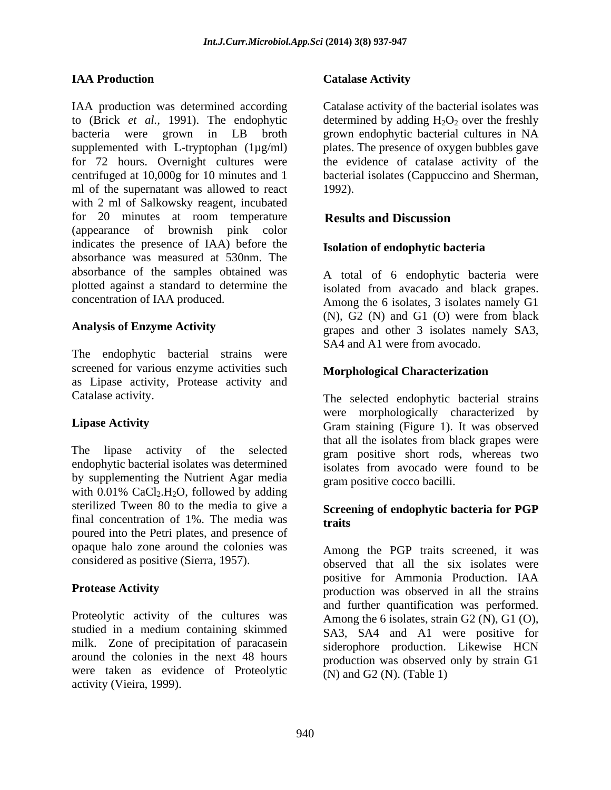IAA production was determined according Catalase activity of the bacterial isolates was to (Brick *et al.*, 1991). The endophytic determined by adding  $H_2O_2$  over the freshly bacteria were grown in LB broth grown endophytic bacterial cultures in NA supplemented with L-tryptophan (1µg/ml) plates. The presence of oxygen bubbles gave for 72 hours. Overnight cultures were the evidence of catalase activity of the centrifuged at 10,000g for 10 minutes and 1 ml of the supernatant was allowed to react 1992). with 2 ml of Salkowsky reagent, incubated for 20 minutes at room temperature Results and Discussion (appearance of brownish pink color indicates the presence of IAA) before the absorbance was measured at 530nm. The absorbance of the samples obtained was plotted against a standard to determine the

The endophytic bacterial strains were screened for various enzyme activities such as Lipase activity, Protease activity and

The lipase activity of the selected gram positive short rods, whereas two endophytic bacterial isolates was determined isolates from avocado were found to be by supplementing the Nutrient Agar media with  $0.01\%$  CaCl<sub>2</sub>.H<sub>2</sub>O, followed by adding sterilized Tween 80 to the media to give a final concentration of 1%. The media was **traits** poured into the Petri plates, and presence of opaque halo zone around the colonies was considered as positive (Sierra, 1957).

Proteolytic activity of the cultures was studied in a medium containing skimmed milk. Zone of precipitation of paracasein were taken as evidence of Proteolytic activity (Vieira, 1999).

### **IAA Production Catalase Activity**

bacterial isolates (Cappuccino and Sherman, 1992).

## **Results and Discussion**

### **Isolation of endophytic bacteria**

concentration of IAA produced. Among the 6 isolates, 3 isolates namely G1 Analysis of Enzyme Activity<br>
grapes and other 3 isolates namely SA3, A total of 6 endophytic bacteria were isolated from avacado and black grapes. (N), G2 (N) and G1 (O) were from black SA4 and A1 were from avocado.

### **Morphological Characterization**

Catalase activity. The selected endophytic bacterial strains Lipase Activity **Channel Activity** Gram staining (Figure 1). It was observed were morphologically characterized by that all the isolates from black grapes were isolates from avocado were found to be gram positive cocco bacilli.

### **Screening of endophytic bacteria for PGP traits**

**Protease Activity** extending the production was observed in all the strains around the colonies in the next 48 hours production was observed only by strain G1 Among the PGP traits screened, it was observed that all the six isolates were positive for Ammonia Production. IAA and further quantification was performed. Among the 6 isolates, strain G2 (N), G1 (O), SA3, SA4 and A1 were positive for siderophore production. Likewise HCN (N) and G2 (N). (Table 1)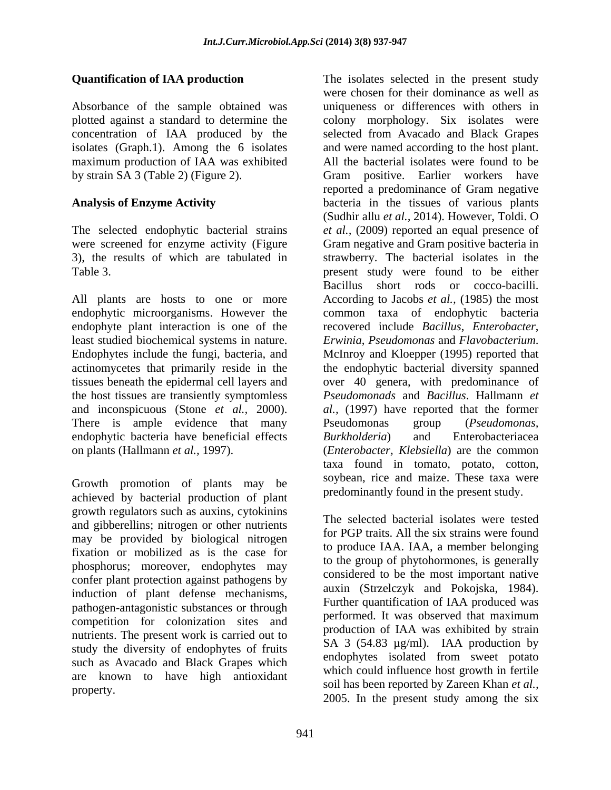maximum production of IAA was exhibited

least studied biochemical systems in nature. Erwinia, Pseudomonas and Flavobacterium. Endophytes include the fungi, bacteria, and McInroy and Kloepper (1995) reported that tissues beneath the epidermal cell layers and and inconspicuous (Stone *et al.,* 2000). There is ample evidence that many Pseudomonas group (*Pseudomonas*, endophytic bacteria have beneficial effects Burkholderia) and Enterobacteriacea

Growth promotion of plants may be achieved by bacterial production of plant growth regulators such as auxins, cytokinins and gibberellins; nitrogen or other nutrients may be provided by biological nitrogen fixation or mobilized as is the case for phosphorus; moreover, endophytes may confer plant protection against pathogens by induction of plant defense mechanisms, pathogen-antagonistic substances or through<br>performed. It was observed that maximum competition for colonization sites and nutrients. The present work is carried out to study the diversity of endophytes of fruits such as Avacado and Black Grapes which are known to have high antioxidant

**Quantification of IAA production** The isolates selected in the present study Absorbance of the sample obtained was uniqueness or differences with others in plotted against a standard to determine the colony morphology. Six isolates were concentration of IAA produced by the selected from Avacado and Black Grapes isolates (Graph.1). Among the 6 isolates and were named according to the host plant. by strain SA 3 (Table 2) (Figure 2). Gram positive. Earlier workers have **Analysis of Enzyme Activity** bacteria in the tissues of various plants The selected endophytic bacterial strains *et al.,* (2009) reported an equal presence of were screened for enzyme activity (Figure Gram negative and Gram positive bacteria in 3), the results of which are tabulated in strawberry. The bacterial isolates in the Table 3. **present study were found to be either**  $\alpha$ All plants are hosts to one or more According to Jacobs *et al.,* (1985) the most endophytic microorganisms. However the common taxa of endophytic bacteria endophyte plant interaction is one of the recovered include *Bacillus*, *Enterobacter*, actinomycetes that primarily reside in the the endophytic bacterial diversity spanned the host tissues are transiently symptomless *Pseudomonads* and *Bacillus*. Hallmann *et*  on plants (Hallmann *et al.,* 1997). (*Enterobacter, Klebsiella*) are the common were chosen for their dominance as well as All the bacterial isolates were found to be reported a predominance of Gram negative (Sudhir allu *et al.,* 2014). However, Toldi. O Bacillus short rods or cocco-bacilli. *Erwinia*, *Pseudomonas* and *Flavobacterium*. McInroy and Kloepper (1995) reported that over 40 genera, with predominance of *al.,* (1997) have reported that the former Pseudomonas group (*Pseudomonas, Burkholderia*) and Enterobacteriacea taxa found in tomato, potato, cotton, soybean, rice and maize. These taxa were predominantly found in the present study.

property. The selected bacterial isolates were tested for PGP traits. All the six strains were found to produce IAA. IAA, a member belonging to the group of phytohormones, is generally considered to be the most important native auxin (Strzelczyk and Pokojska, 1984). Further quantification of IAA produced was performed. It was observed that maximum production of IAA was exhibited by strain SA 3 (54.83 µg/ml). IAA production by endophytes isolated from sweet potato which could influence host growth in fertile soil has been reported by Zareen Khan *et al.,* 2005. In the present study among the six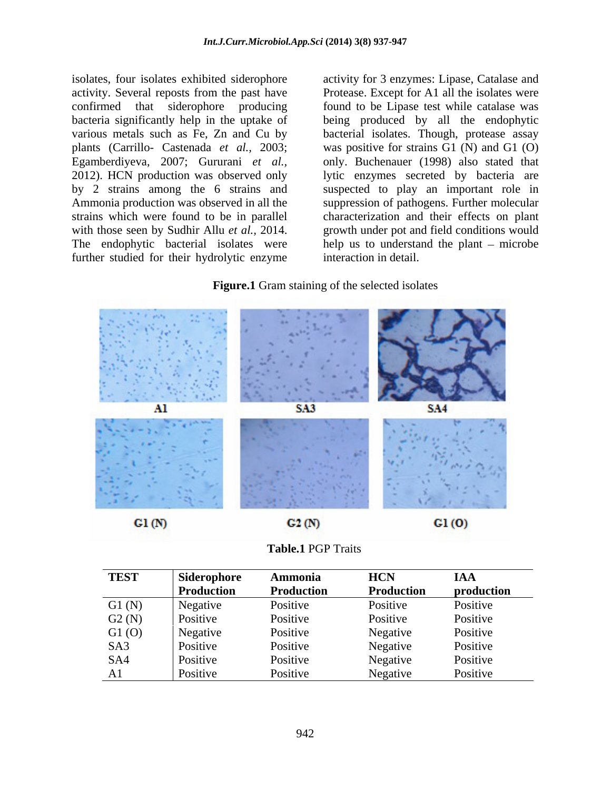further studied for their hydrolytic enzyme

isolates, four isolates exhibited siderophore activity for 3 enzymes: Lipase, Catalase and activity. Several reposts from the past have Protease. Except for A1 all the isolates were confirmed that siderophore producing found to be Lipase test while catalase was bacteria significantly help in the uptake of being produced by all the endophytic various metals such as Fe, Zn and Cu by bacterial isolates. Though, protease assay plants (Carrillo- Castenada *et al.,* 2003; was positive for strains G1 (N) and G1 (O) Egamberdiyeva, 2007; Gururani *et al.,* only. Buchenauer (1998) also stated that 2012). HCN production was observed only lytic enzymes secreted by bacteria are by 2 strains among the 6 strains and suspected to play an important role in Ammonia production was observed in all the suppression of pathogens. Further molecular strains which were found to be in parallel characterization and their effects on plant with those seen by Sudhir Allu *et al.*, 2014. growth under pot and field conditions would The endophytic bacterial isolates were help us to understand the plant microbe interaction in detail.

### **Figure.1** Gram staining of the selected isolates





| <b>TEST</b> | Siderophore | Ammonia    | <b>HCN</b> | <b>IAA</b> |
|-------------|-------------|------------|------------|------------|
|             | Production  | Production | Production | production |
| G1(N)       | Negative    | Positive   | Positive   | Positive   |
| G2(N)       | Positive    | Positive   | Positive   | Positive   |
| G1(0)       | Negative    | Positive   | Negative   | Positive   |
| SA3         | Positive    | Positive   | Negative   | Positive   |
| SA4         | Positive    | Positive   | Negative   | Positive   |
| A1          | Positive    | Positive   | Negative   | Positive   |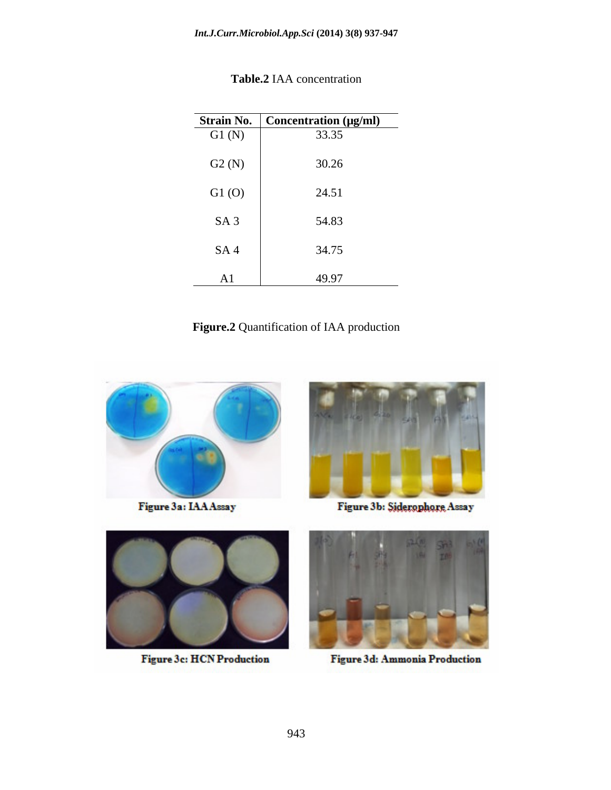| Strain No.      | Concentration (µg/ml) |
|-----------------|-----------------------|
| G1(N)           | 33.35                 |
| G2(N)           | 30.26                 |
| G1(0)           | 24.51                 |
| SA <sub>3</sub> | 54.83                 |
| SA <sub>4</sub> | 34.75                 |
| A1              | 49.97                 |

**Table.2** IAA concentration

**Figure.2** Quantification of IAA production



Figure 3a: IAA Assay



Figure 3b: Siderophore Assay



Figure 3c: HCN Production



Figure 3d: Ammonia Production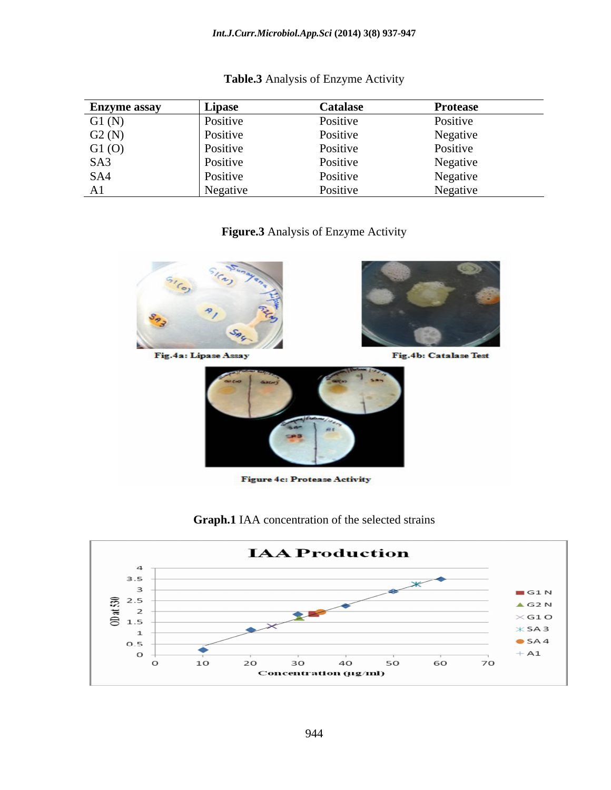| <b>Enzyme assay</b> | Lipase   | <b>Catalase</b> | <b>Protease</b> |
|---------------------|----------|-----------------|-----------------|
| G1(N)               | Positive | Positive        | Positive        |
| G2(N)               | Positive | Positive        | Negative        |
| G1(0)               | Positive | Positive        | Positive        |
| SA3                 | Positive | Positive        | Negative        |
| SA4                 | Positive | Positive        | Negative        |
| A <sub>1</sub>      | Negative | Positive        | Negative        |

## **Table.3** Analysis of Enzyme Activity

**Figure.3** Analysis of Enzyme Activity





**Figure 4c: Protease Activity** 

**Graph.1** IAA concentration of the selected strains

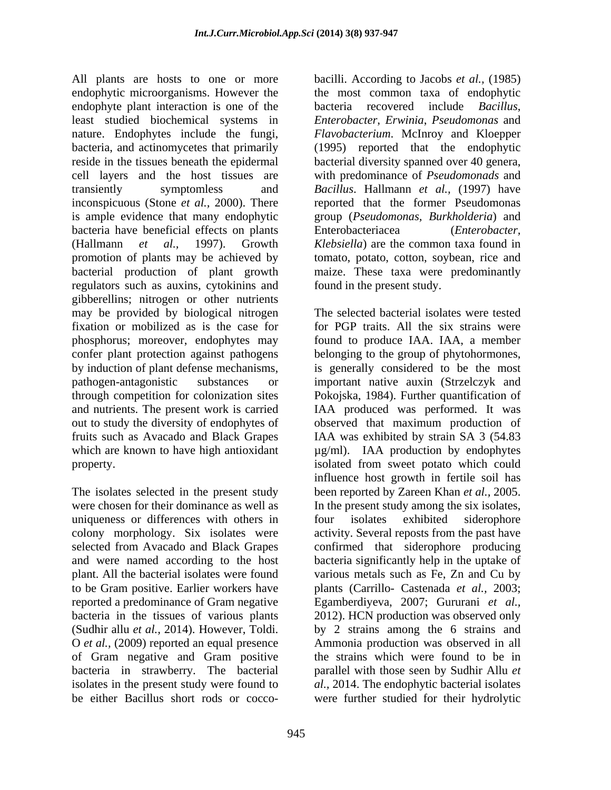All plants are hosts to one or more bacilli. According to Jacobs *et al.,* (1985) endophytic microorganisms. However the endophyte plant interaction is one of the bacteria recovered include *Bacillus*, least studied biochemical systems in *Enterobacter*, *Erwinia*, *Pseudomonas* and nature. Endophytes include the fungi, *Flavobacterium*. McInroy and Kloepper bacteria, and actinomycetes that primarily (1995) reported that the endophytic reside in the tissues beneath the epidermal bacterial diversity spanned over 40 genera, cell layers and the host tissues are with predominance of *Pseudomonads* and transiently symptomless and *Bacillus*. Hallmann *et al.,* (1997) have inconspicuous (Stone *et al.,* 2000). There is ample evidence that many endophytic group (*Pseudomonas, Burkholderia*) and bacteria have beneficial effects on plants Enterobacteriacea (*Enterobacter*, (Hallmann *et al.,* 1997). Growth *Klebsiella*) are the common taxa found in promotion of plants may be achieved by bacterial production of plant growth maize. These taxa were predominantly regulators such as auxins, cytokinins and gibberellins; nitrogen or other nutrients may be provided by biological nitrogen fixation or mobilized as is the case for phosphorus; moreover, endophytes may found to produce IAA. IAA, a member confer plant protection against pathogens belonging to the group of phytohormones, by induction of plant defense mechanisms, is generally considered to be the most pathogen-antagonistic substances or important native auxin (Strzelczyk and through competition for colonization sites Pokojska, 1984). Further quantification of and nutrients. The present work is carried out to study the diversity of endophytes of observed that maximum production of fruits such as Avacado and Black Grapes IAA was exhibited by strain SA 3 (54.83 which are known to have high antioxidant  $\mu$ g/ml). IAA production by endophytes property. isolated from sweet potato which could

The isolates selected in the present study uniqueness or differences with others in four isolates exhibited siderophore of Gram negative and Gram positive bacteria in strawberry. The bacterial be either Bacillus short rods or cocco-were further studied for their hydrolytic

the most common taxa of endophytic bacteria recovered include *Bacillus*, reported that the former Pseudomonas Enterobacteriacea (*Enterobacter,*  tomato, potato, cotton, soybean, rice and found in the present study.

were chosen for their dominance as well as In the present study among the six isolates, colony morphology. Six isolates were activity. Several reposts from the past have selected from Avacado and Black Grapes confirmed that siderophore producing and were named according to the host bacteria significantly help in the uptake of plant. All the bacterial isolates were found various metals such as Fe, Zn and Cu by to be Gram positive. Earlier workers have plants (Carrillo- Castenada *et al.,* 2003; reported a predominance of Gram negative Egamberdiyeva, 2007; Gururani *et al.,* bacteria in the tissues of various plants 2012). HCN production was observed only (Sudhir allu *et al.*, 2014). However, Toldi. by 2 strains among the 6 strains and O *et al.*, (2009) reported an equal presence Ammonia production was observed in all isolates in the present study were found to *al.,* 2014. The endophytic bacterial isolates The selected bacterial isolates were tested for PGP traits. All the six strains were IAA produced was performed. It was influence host growth in fertile soil has been reported by Zareen Khan *et al.,* 2005. four isolates exhibited siderophore by 2 strains among the 6 strains and Ammonia production was observed in all the strains which were found to be in parallel with those seen by Sudhir Allu *et*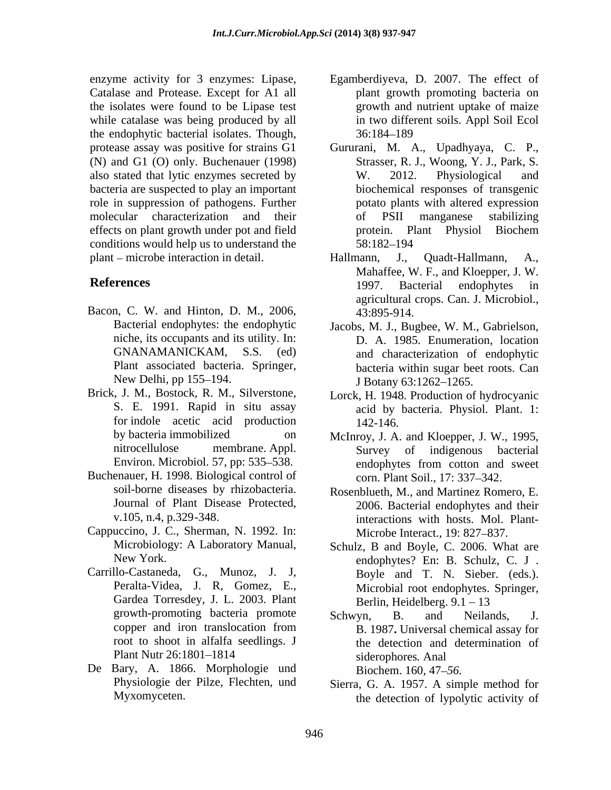Catalase and Protease. Except for A1 all the isolates were found to be Lipase test while catalase was being produced by all the endophytic bacterial isolates. Though, (N) and G1 (O) only. Buchenauer (1998) bacteria are suspected to play an important conditions would help us to understand the 58:182–194 plant – microbe interaction in detail. Hallmann, J., Quadt-Hallmann, A.,

- Bacon, C. W. and Hinton, D. M., 2006, 43:895-914. niche, its occupants and its utility. In:
- Brick, J. M., Bostock, R. M., Silverstone, Lorck, H. 1948. Production of hydrocyanic for indole acetic acid production 142-146.
- Buchenauer, H. 1998. Biological control of
- Cappuccino, J. C., Sherman, N. 1992. In:
- Carrillo-Castaneda, G., Munoz, J. J, Peralta-Videa, J. R, Gomez, E., Gardea Torresdey, J. L. 2003. Plant Berlin, Heidelberg. 9.1 - 13 root to shoot in alfalfa seedlings. J
- De Bary, A. 1866. Morphologie und Biochem. 160, 47–56.
- enzyme activity for 3 enzymes: Lipase, Egamberdiyeva, D. 2007. The effect of plant growth promoting bacteria on growth and nutrient uptake of maize in two different soils. Appl Soil Ecol 36:184 189
- protease assay was positive for strains G1 Gururani, M. A., Upadhyaya, C. P., also stated that lytic enzymes secreted by W. 2012. Physiological and role in suppression of pathogens. Further potato plants with altered expression molecular characterization and their effects on plant growth under pot and field protein. Plant Physiol Biochem Strasser, R. J., Woong, Y. J., Park, S. W. 2012. Physiological and biochemical responses of transgenic of PSII manganese stabilizing protein. Plant Physiol Biochem 58:182 194
- **References** 1997. Bacterial endophytes in Hallmann, J., Quadt-Hallmann, A., Mahaffee, W. F., and Kloepper, J. W. 1997. Bacterial endophytes in agricultural crops. Can. J. Microbiol., 43:895-914.
	- Bacterial endophytes: the endophytic Jacobs, M. J., Bugbee, W. M., Gabrielson, GNANAMANICKAM, S.S. (ed) and characterization of endophytic Plant associated bacteria. Springer, bacteria within sugar beet roots. Can New Delhi, pp 155–194. I Botany 63:1262–1265. D. A. 1985. Enumeration, location
	- S. E. 1991. Rapid in situ assay acid by bacteria. Physiol. Plant. 1: 142-146.
	- by bacteria immobilized on McInroy, J. A. and Kloepper, J. W., 1995, nitrocellulose membrane. Appl. Survey of indigenous bacterial Environ. Microbiol. 57, pp: 535–538. endophytes from cotton and sweet endophytes from cotton and sweet corn. Plant Soil., 17: 337-342.
	- soil-borne diseases by rhizobacteria. Rosenblueth, M., and Martinez Romero, E. Journal of Plant Disease Protected, 2006. Bacterial endophytes and their v.105, n.4, p.329-348. 2006. Bacterial endophytes and their interactions with hosts. Mol. Plant- Microbe Interact., 19: 827–837.
	- Microbiology: A Laboratory Manual, Schulz, B and Boyle, C. 2006. What are New York. endophytes? En: B. Schulz, C. J . Boyle and T. N. Sieber. (eds.). Microbial root endophytes. Springer, Berlin, Heidelberg.  $9.1 - 13$
	- growth-promoting bacteria promote Schwyn. B. and Neilands. J. copper and iron translocation from B. 1987. Universal chemical assay for Plant Nutr 26:1801–1814 siderophores. Anal Schwyn, B. and Neilands, J. B. 1987**.** Universal chemical assay for the detection and determination of siderophores*.* Anal Biochem. 160*,* 47 *56.*
	- Physiologie der Pilze, Flechten, und Sierra, G. A. 1957. A simple method for Myxomyceten. the detection of lypolytic activity of